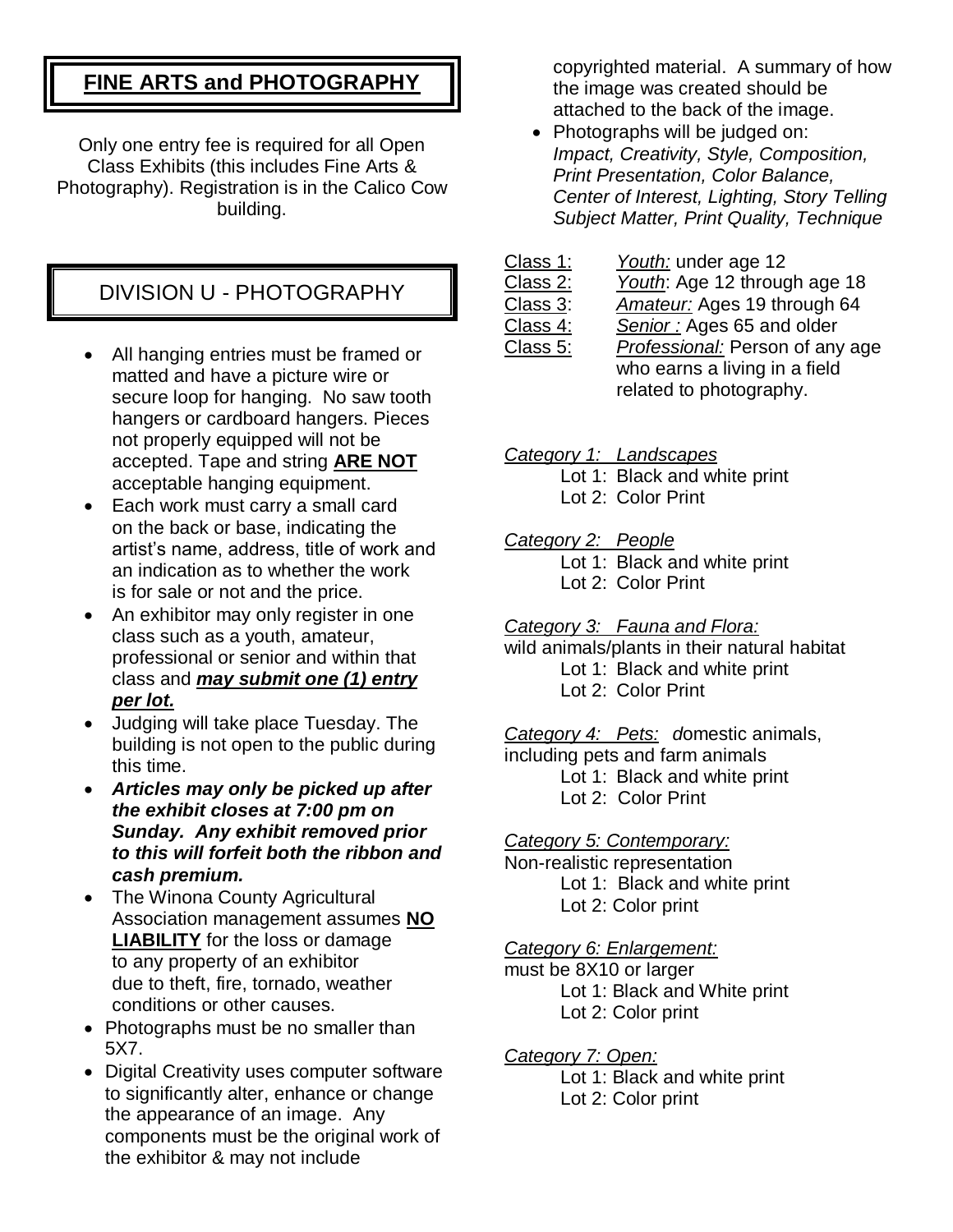# **FINE ARTS and PHOTOGRAPHY**

Only one entry fee is required for all Open Class Exhibits (this includes Fine Arts & Photography). Registration is in the Calico Cow building.

## DIVISION U - PHOTOGRAPHY

- All hanging entries must be framed or matted and have a picture wire or secure loop for hanging. No saw tooth hangers or cardboard hangers. Pieces not properly equipped will not be accepted. Tape and string **ARE NOT** acceptable hanging equipment.
- Each work must carry a small card on the back or base, indicating the artist's name, address, title of work and an indication as to whether the work is for sale or not and the price.
- An exhibitor may only register in one class such as a youth, amateur, professional or senior and within that class and *may submit one (1) entry per lot.*
- Judging will take place Tuesday. The building is not open to the public during this time.
- *Articles may only be picked up after the exhibit closes at 7:00 pm on Sunday. Any exhibit removed prior to this will forfeit both the ribbon and cash premium.*
- The Winona County Agricultural Association management assumes **NO LIABILITY** for the loss or damage to any property of an exhibitor due to theft, fire, tornado, weather conditions or other causes.
- Photographs must be no smaller than 5X7.
- Digital Creativity uses computer software to significantly alter, enhance or change the appearance of an image. Any components must be the original work of the exhibitor & may not include

copyrighted material. A summary of how the image was created should be attached to the back of the image.

• Photographs will be judged on: *Impact, Creativity, Style, Composition, Print Presentation, Color Balance, Center of Interest, Lighting, Story Telling Subject Matter, Print Quality, Technique*

| Class 1: | Youth: under age 12             |
|----------|---------------------------------|
| Class 2: | Youth: Age 12 through age 18    |
| Class 3: | Amateur: Ages 19 through 64     |
| Class 4: | Senior: Ages 65 and older       |
| Class 5: | Professional: Person of any age |
|          | who earns a living in a field   |
|          | related to photography.         |

*Category 1: Landscapes*

Lot 1: Black and white print Lot 2: Color Print

*Category 2: People*

Lot 1: Black and white print

Lot 2: Color Print

*Category 3: Fauna and Flora:*

wild animals/plants in their natural habitat Lot 1: Black and white print Lot 2: Color Print

*Category 4: Pets: d*omestic animals, including pets and farm animals Lot 1: Black and white print

Lot 2: Color Print

*Category 5: Contemporary:*

Non-realistic representation Lot 1: Black and white print Lot 2: Color print

#### *Category 6: Enlargement:*

must be 8X10 or larger Lot 1: Black and White print Lot 2: Color print

*Category 7: Open:*

Lot 1: Black and white print Lot 2: Color print